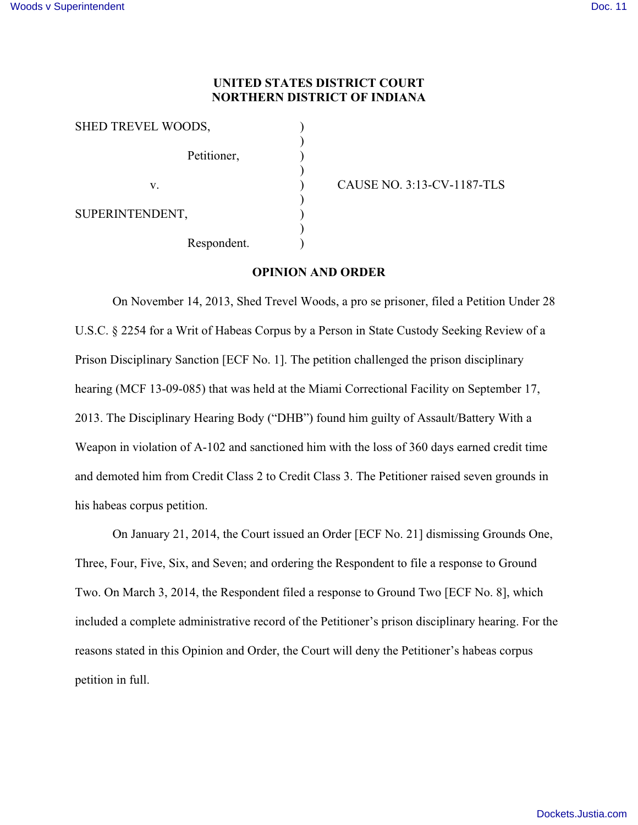## **UNITED STATES DISTRICT COURT NORTHERN DISTRICT OF INDIANA**

| SHED TREVEL WOODS, |             |  |
|--------------------|-------------|--|
|                    | Petitioner, |  |
| V.                 |             |  |
| SUPERINTENDENT,    |             |  |
|                    | Respondent. |  |

v. ) CAUSE NO. 3:13-CV-1187-TLS

#### **OPINION AND ORDER**

On November 14, 2013, Shed Trevel Woods, a pro se prisoner, filed a Petition Under 28 U.S.C. § 2254 for a Writ of Habeas Corpus by a Person in State Custody Seeking Review of a Prison Disciplinary Sanction [ECF No. 1]. The petition challenged the prison disciplinary hearing (MCF 13-09-085) that was held at the Miami Correctional Facility on September 17, 2013. The Disciplinary Hearing Body ("DHB") found him guilty of Assault/Battery With a Weapon in violation of A-102 and sanctioned him with the loss of 360 days earned credit time and demoted him from Credit Class 2 to Credit Class 3. The Petitioner raised seven grounds in his habeas corpus petition.

On January 21, 2014, the Court issued an Order [ECF No. 21] dismissing Grounds One, Three, Four, Five, Six, and Seven; and ordering the Respondent to file a response to Ground Two. On March 3, 2014, the Respondent filed a response to Ground Two [ECF No. 8], which included a complete administrative record of the Petitioner's prison disciplinary hearing. For the reasons stated in this Opinion and Order, the Court will deny the Petitioner's habeas corpus petition in full.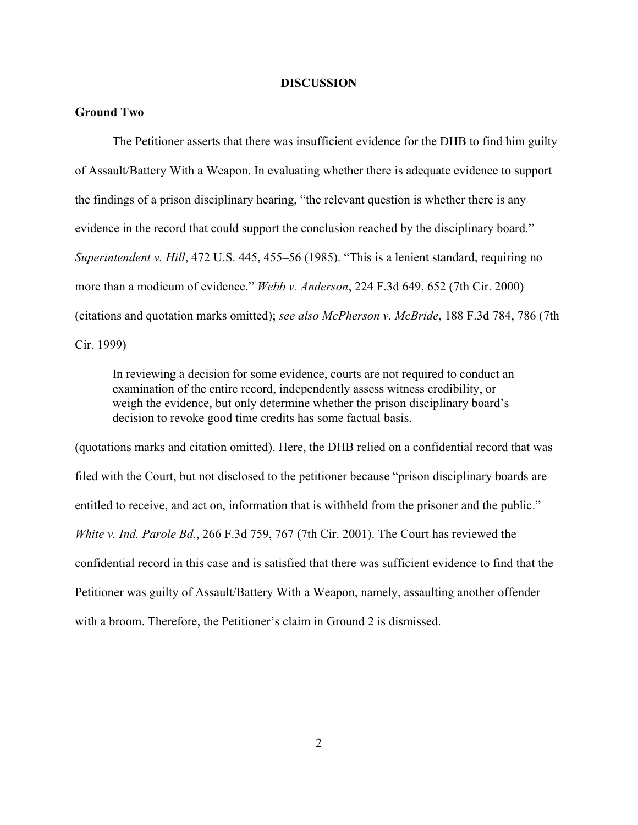#### **DISCUSSION**

### **Ground Two**

The Petitioner asserts that there was insufficient evidence for the DHB to find him guilty of Assault/Battery With a Weapon. In evaluating whether there is adequate evidence to support the findings of a prison disciplinary hearing, "the relevant question is whether there is any evidence in the record that could support the conclusion reached by the disciplinary board." *Superintendent v. Hill*, 472 U.S. 445, 455–56 (1985). "This is a lenient standard, requiring no more than a modicum of evidence." *Webb v. Anderson*, 224 F.3d 649, 652 (7th Cir. 2000) (citations and quotation marks omitted); *see also McPherson v. McBride*, 188 F.3d 784, 786 (7th Cir. 1999)

In reviewing a decision for some evidence, courts are not required to conduct an examination of the entire record, independently assess witness credibility, or weigh the evidence, but only determine whether the prison disciplinary board's decision to revoke good time credits has some factual basis.

(quotations marks and citation omitted). Here, the DHB relied on a confidential record that was filed with the Court, but not disclosed to the petitioner because "prison disciplinary boards are entitled to receive, and act on, information that is withheld from the prisoner and the public." *White v. Ind. Parole Bd.*, 266 F.3d 759, 767 (7th Cir. 2001). The Court has reviewed the confidential record in this case and is satisfied that there was sufficient evidence to find that the Petitioner was guilty of Assault/Battery With a Weapon, namely, assaulting another offender with a broom. Therefore, the Petitioner's claim in Ground 2 is dismissed.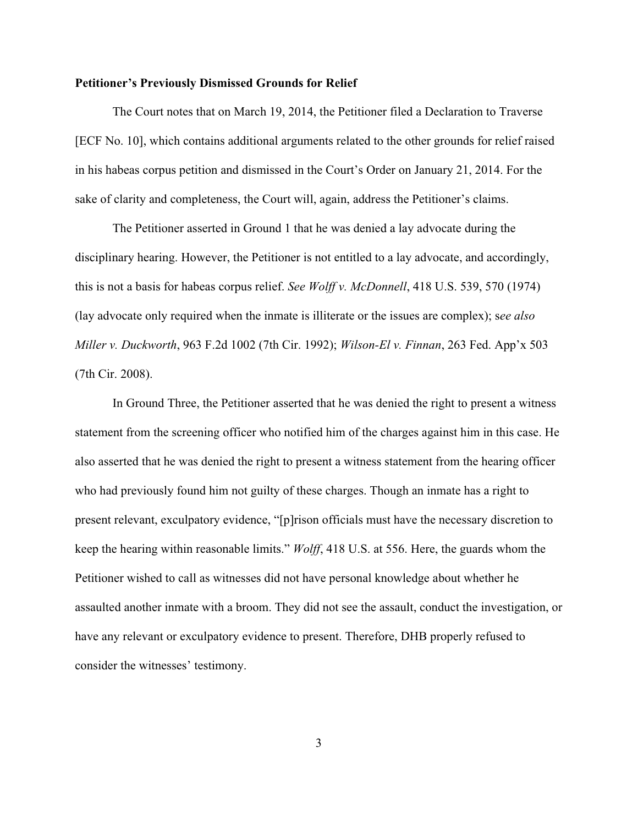#### **Petitioner's Previously Dismissed Grounds for Relief**

The Court notes that on March 19, 2014, the Petitioner filed a Declaration to Traverse [ECF No. 10], which contains additional arguments related to the other grounds for relief raised in his habeas corpus petition and dismissed in the Court's Order on January 21, 2014. For the sake of clarity and completeness, the Court will, again, address the Petitioner's claims.

The Petitioner asserted in Ground 1 that he was denied a lay advocate during the disciplinary hearing. However, the Petitioner is not entitled to a lay advocate, and accordingly, this is not a basis for habeas corpus relief. *See Wolff v. McDonnell*, 418 U.S. 539, 570 (1974) (lay advocate only required when the inmate is illiterate or the issues are complex); s*ee also Miller v. Duckworth*, 963 F.2d 1002 (7th Cir. 1992); *Wilson-El v. Finnan*, 263 Fed. App'x 503 (7th Cir. 2008).

In Ground Three, the Petitioner asserted that he was denied the right to present a witness statement from the screening officer who notified him of the charges against him in this case. He also asserted that he was denied the right to present a witness statement from the hearing officer who had previously found him not guilty of these charges. Though an inmate has a right to present relevant, exculpatory evidence, "[p]rison officials must have the necessary discretion to keep the hearing within reasonable limits." *Wolff*, 418 U.S. at 556. Here, the guards whom the Petitioner wished to call as witnesses did not have personal knowledge about whether he assaulted another inmate with a broom. They did not see the assault, conduct the investigation, or have any relevant or exculpatory evidence to present. Therefore, DHB properly refused to consider the witnesses' testimony.

3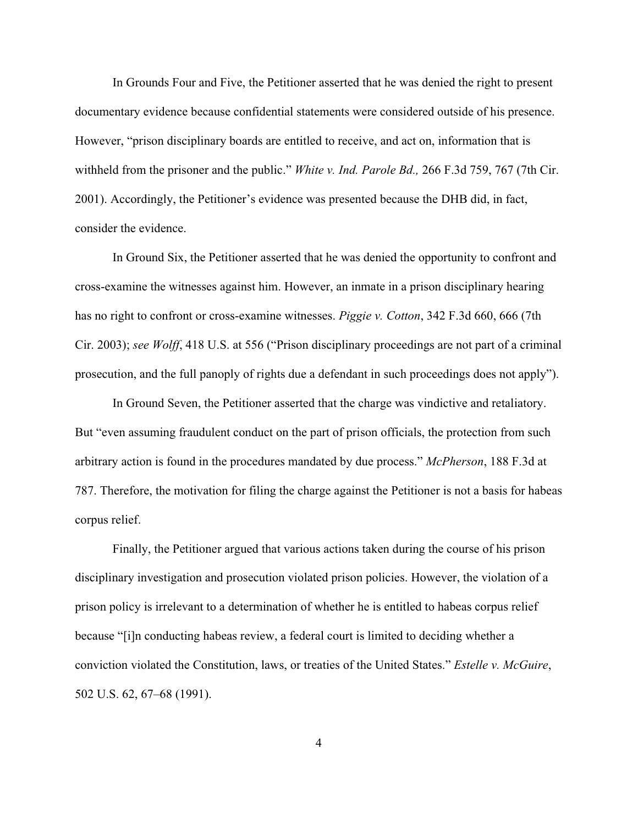In Grounds Four and Five, the Petitioner asserted that he was denied the right to present documentary evidence because confidential statements were considered outside of his presence. However, "prison disciplinary boards are entitled to receive, and act on, information that is withheld from the prisoner and the public." *White v. Ind. Parole Bd.,* 266 F.3d 759, 767 (7th Cir. 2001). Accordingly, the Petitioner's evidence was presented because the DHB did, in fact, consider the evidence.

In Ground Six, the Petitioner asserted that he was denied the opportunity to confront and cross-examine the witnesses against him. However, an inmate in a prison disciplinary hearing has no right to confront or cross-examine witnesses. *Piggie v. Cotton*, 342 F.3d 660, 666 (7th Cir. 2003); *see Wolff*, 418 U.S. at 556 ("Prison disciplinary proceedings are not part of a criminal prosecution, and the full panoply of rights due a defendant in such proceedings does not apply").

In Ground Seven, the Petitioner asserted that the charge was vindictive and retaliatory. But "even assuming fraudulent conduct on the part of prison officials, the protection from such arbitrary action is found in the procedures mandated by due process." *McPherson*, 188 F.3d at 787. Therefore, the motivation for filing the charge against the Petitioner is not a basis for habeas corpus relief.

Finally, the Petitioner argued that various actions taken during the course of his prison disciplinary investigation and prosecution violated prison policies. However, the violation of a prison policy is irrelevant to a determination of whether he is entitled to habeas corpus relief because "[i]n conducting habeas review, a federal court is limited to deciding whether a conviction violated the Constitution, laws, or treaties of the United States." *Estelle v. McGuire*, 502 U.S. 62, 67–68 (1991).

4